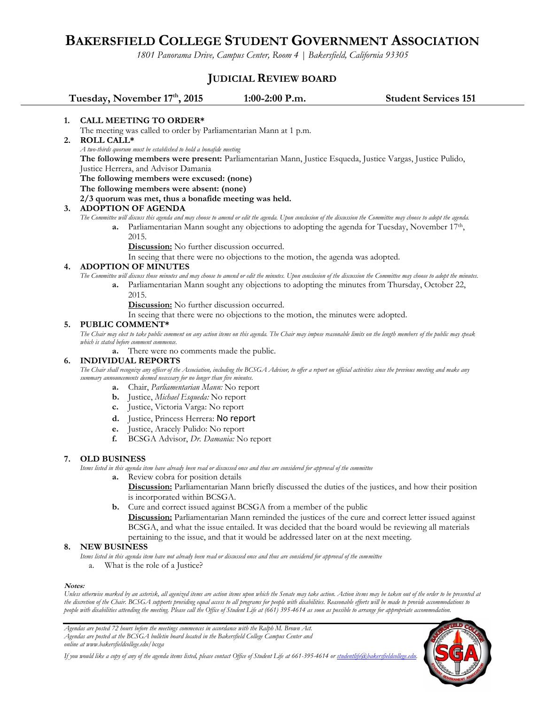# **BAKERSFIELD COLLEGE STUDENT GOVERNMENT ASSOCIATION**

*1801 Panorama Drive, Campus Center, Room 4 | Bakersfield, California 93305*

# **JUDICIAL REVIEW BOARD**

|    | Tuesday, November 17th, 2015                                                                                                                                                                                                                       | 1:00-2:00 P.m.                                                                 | <b>Student Services 151</b>                                                                                |  |
|----|----------------------------------------------------------------------------------------------------------------------------------------------------------------------------------------------------------------------------------------------------|--------------------------------------------------------------------------------|------------------------------------------------------------------------------------------------------------|--|
| 1. | <b>CALL MEETING TO ORDER*</b>                                                                                                                                                                                                                      |                                                                                |                                                                                                            |  |
|    | The meeting was called to order by Parliamentarian Mann at 1 p.m.                                                                                                                                                                                  |                                                                                |                                                                                                            |  |
| 2. | <b>ROLL CALL*</b>                                                                                                                                                                                                                                  |                                                                                |                                                                                                            |  |
|    | A two-thirds quorum must be established to hold a bonafide meeting                                                                                                                                                                                 |                                                                                |                                                                                                            |  |
|    | The following members were present: Parliamentarian Mann, Justice Esqueda, Justice Vargas, Justice Pulido,                                                                                                                                         |                                                                                |                                                                                                            |  |
|    | Justice Herrera, and Advisor Damania                                                                                                                                                                                                               |                                                                                |                                                                                                            |  |
|    | The following members were excused: (none)                                                                                                                                                                                                         |                                                                                |                                                                                                            |  |
|    | The following members were absent: (none)                                                                                                                                                                                                          |                                                                                |                                                                                                            |  |
|    | 2/3 quorum was met, thus a bonafide meeting was held.                                                                                                                                                                                              |                                                                                |                                                                                                            |  |
| 3. | <b>ADOPTION OF AGENDA</b>                                                                                                                                                                                                                          |                                                                                |                                                                                                            |  |
|    | The Committee will discuss this agenda and may choose to amend or edit the agenda. Upon conclusion of the discussion the Committee may choose to adopt the agenda.                                                                                 |                                                                                |                                                                                                            |  |
|    | a.                                                                                                                                                                                                                                                 |                                                                                | Parliamentarian Mann sought any objections to adopting the agenda for Tuesday, November 17 <sup>th</sup> , |  |
|    | 2015.                                                                                                                                                                                                                                              |                                                                                |                                                                                                            |  |
|    | <b>Discussion:</b> No further discussion occurred.                                                                                                                                                                                                 |                                                                                |                                                                                                            |  |
|    |                                                                                                                                                                                                                                                    | In seeing that there were no objections to the motion, the agenda was adopted. |                                                                                                            |  |
| 4. | <b>ADOPTION OF MINUTES</b>                                                                                                                                                                                                                         |                                                                                |                                                                                                            |  |
|    | The Committee will discuss those minutes and may choose to amend or edit the minutes. Upon conclusion of the discussion the Committee may choose to adopt the minutes.                                                                             |                                                                                |                                                                                                            |  |
|    | a.                                                                                                                                                                                                                                                 |                                                                                | Parliamentarian Mann sought any objections to adopting the minutes from Thursday, October 22,              |  |
|    | 2015.                                                                                                                                                                                                                                              |                                                                                |                                                                                                            |  |
|    | <b>Discussion:</b> No further discussion occurred.                                                                                                                                                                                                 |                                                                                |                                                                                                            |  |
|    | In seeing that there were no objections to the motion, the minutes were adopted.                                                                                                                                                                   |                                                                                |                                                                                                            |  |
| 5. | <b>PUBLIC COMMENT*</b>                                                                                                                                                                                                                             |                                                                                |                                                                                                            |  |
|    | The Chair may elect to take public comment on any action items on this agenda. The Chair may impose reasonable limits on the length members of the public may speak.                                                                               |                                                                                |                                                                                                            |  |
|    | which is stated before comment commence.                                                                                                                                                                                                           |                                                                                |                                                                                                            |  |
|    | a.<br><b>INDIVIDUAL REPORTS</b>                                                                                                                                                                                                                    | There were no comments made the public.                                        |                                                                                                            |  |
| 6. |                                                                                                                                                                                                                                                    |                                                                                |                                                                                                            |  |
|    | The Chair shall recognize any officer of the Association, including the BCSGA Advisor, to offer a report on official activities since the previous meeting and make any<br>summary announcements deemed necessary for no longer than five minutes. |                                                                                |                                                                                                            |  |
|    | <b>a.</b> Chair, <i>Parliamentarian Mann</i> : No report                                                                                                                                                                                           |                                                                                |                                                                                                            |  |
|    | $\mathbf{r}$ . The set of $\mathbf{r}$                                                                                                                                                                                                             |                                                                                |                                                                                                            |  |

- **b.** Justice, *Michael Esqueda:* No report
- **c.** Justice, Victoria Varga: No report
- **d.** Justice, Princess Herrera: No report
- **e.** Justice, Aracely Pulido: No report
- **f.** BCSGA Advisor, *Dr. Damania:* No report

### **7. OLD BUSINESS**

*Items listed in this agenda item have already been read or discussed once and thus are considered for approval of the committee*

- **a.** Review cobra for position details
	- **Discussion:** Parliamentarian Mann briefly discussed the duties of the justices, and how their position is incorporated within BCSGA.
	- **b.** Cure and correct issued against BCSGA from a member of the public **Discussion:** Parliamentarian Mann reminded the justices of the cure and correct letter issued against BCSGA, and what the issue entailed. It was decided that the board would be reviewing all materials pertaining to the issue, and that it would be addressed later on at the next meeting.

#### **8. NEW BUSINESS**

- *Items listed in this agenda item have not already been read or discussed once and thus are considered for approval of the committee*
	- a. What is the role of a Justice?

#### **Notes:**

*Unless otherwise marked by an asterisk, all agenized items are action items upon which the Senate may take action. Action items may be taken out of the order to be presented at the discretion of the Chair. BCSGA supports providing equal access to all programs for people with disabilities. Reasonable efforts will be made to provide accommodations to people with disabilities attending the meeting. Please call the Office of Student Life at (661) 395-4614 as soon as possible to arrange for appropriate accommodation.*

*Agendas are posted 72 hours before the meetings commences in accordance with the Ralph M. Brown Act. Agendas are posted at the BCSGA bulletin board located in the Bakersfield College Campus Center and online at www.bakersfieldcollege.edu/bcsga*